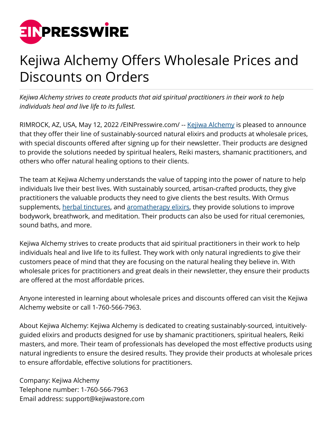

## Kejiwa Alchemy Offers Wholesale Prices and Discounts on Orders

*Kejiwa Alchemy strives to create products that aid spiritual practitioners in their work to help individuals heal and live life to its fullest.*

RIMROCK, AZ, USA, May 12, 2022 / EINPresswire.com/ -- [Kejiwa Alchemy](https://kejiwastore.com/) is pleased to announce that they offer their line of sustainably-sourced natural elixirs and products at wholesale prices, with special discounts offered after signing up for their newsletter. Their products are designed to provide the solutions needed by spiritual healers, Reiki masters, shamanic practitioners, and others who offer natural healing options to their clients.

The team at Kejiwa Alchemy understands the value of tapping into the power of nature to help individuals live their best lives. With sustainably sourced, artisan-crafted products, they give practitioners the valuable products they need to give clients the best results. With Ormus supplements, [herbal tinctures,](https://kejiwastore.com/collections/herbal-tinctures-1) and [aromatherapy elixirs](https://kejiwastore.com/collections/botanical-aromatics-1), they provide solutions to improve bodywork, breathwork, and meditation. Their products can also be used for ritual ceremonies, sound baths, and more.

Kejiwa Alchemy strives to create products that aid spiritual practitioners in their work to help individuals heal and live life to its fullest. They work with only natural ingredients to give their customers peace of mind that they are focusing on the natural healing they believe in. With wholesale prices for practitioners and great deals in their newsletter, they ensure their products are offered at the most affordable prices.

Anyone interested in learning about wholesale prices and discounts offered can visit the Kejiwa Alchemy website or call 1-760-566-7963.

About Kejiwa Alchemy: Kejiwa Alchemy is dedicated to creating sustainably-sourced, intuitivelyguided elixirs and products designed for use by shamanic practitioners, spiritual healers, Reiki masters, and more. Their team of professionals has developed the most effective products using natural ingredients to ensure the desired results. They provide their products at wholesale prices to ensure affordable, effective solutions for practitioners.

Company: Kejiwa Alchemy Telephone number: 1-760-566-7963 Email address: support@kejiwastore.com